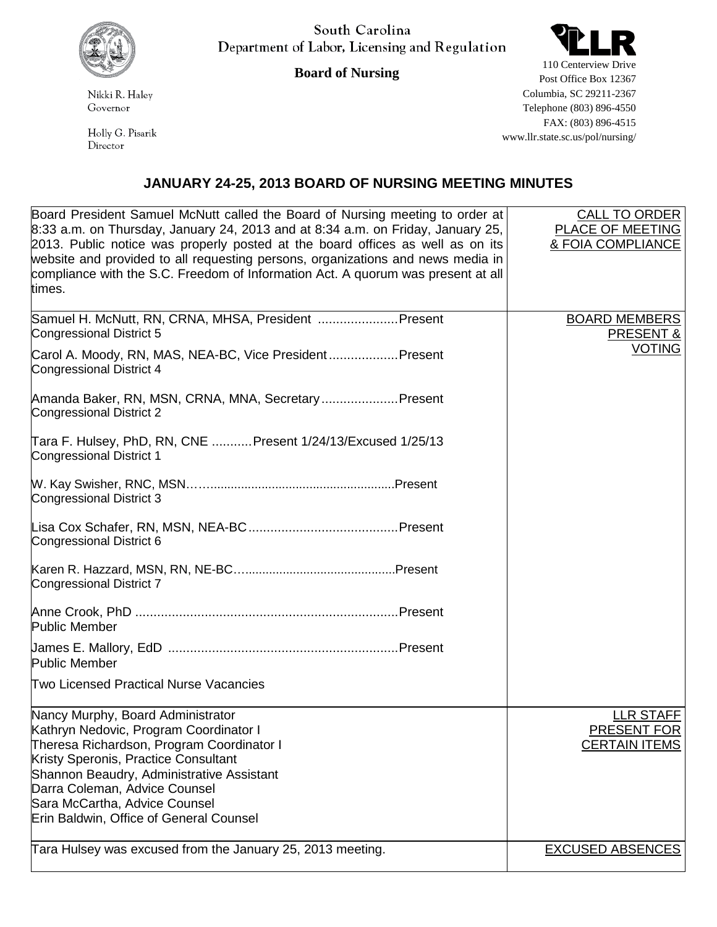

South Carolina Department of Labor, Licensing and Regulation

**Board of Nursing**

Nikki R. Haley Governor

Holly G. Pisarik Director

110 Centerview Drive Post Office Box 12367 Columbia, SC 29211-2367 Telephone (803) 896-4550 FAX: (803) 896-4515 www.llr.state.sc.us/pol/nursing/

## **JANUARY 24-25, 2013 BOARD OF NURSING MEETING MINUTES**

| Board President Samuel McNutt called the Board of Nursing meeting to order at<br>$8:33$ a.m. on Thursday, January 24, 2013 and at 8:34 a.m. on Friday, January 25,<br>2013. Public notice was properly posted at the board offices as well as on its | <b>CALL TO ORDER</b><br>PLACE OF MEETING<br>& FOIA COMPLIANCE  |
|------------------------------------------------------------------------------------------------------------------------------------------------------------------------------------------------------------------------------------------------------|----------------------------------------------------------------|
| website and provided to all requesting persons, organizations and news media in<br>compliance with the S.C. Freedom of Information Act. A quorum was present at all<br>times.                                                                        |                                                                |
| Samuel H. McNutt, RN, CRNA, MHSA, President  Present<br>Congressional District 5                                                                                                                                                                     | <b>BOARD MEMBERS</b><br><b>PRESENT &amp;</b>                   |
| Carol A. Moody, RN, MAS, NEA-BC, Vice President Present<br>Congressional District 4                                                                                                                                                                  | <b>VOTING</b>                                                  |
| Amanda Baker, RN, MSN, CRNA, MNA, Secretary Present<br>Congressional District 2                                                                                                                                                                      |                                                                |
| Tara F. Hulsey, PhD, RN, CNE  Present 1/24/13/Excused 1/25/13<br>Congressional District 1                                                                                                                                                            |                                                                |
| Congressional District 3                                                                                                                                                                                                                             |                                                                |
| Congressional District 6                                                                                                                                                                                                                             |                                                                |
| Congressional District 7                                                                                                                                                                                                                             |                                                                |
| <b>Public Member</b>                                                                                                                                                                                                                                 |                                                                |
| Public Member                                                                                                                                                                                                                                        |                                                                |
| Two Licensed Practical Nurse Vacancies                                                                                                                                                                                                               |                                                                |
| Nancy Murphy, Board Administrator<br>Kathryn Nedovic, Program Coordinator I<br>Theresa Richardson, Program Coordinator I<br>Kristy Speronis, Practice Consultant                                                                                     | <b>LLR STAFF</b><br><b>PRESENT FOR</b><br><b>CERTAIN ITEMS</b> |
| Shannon Beaudry, Administrative Assistant<br>Darra Coleman, Advice Counsel<br>Sara McCartha, Advice Counsel                                                                                                                                          |                                                                |
| Erin Baldwin, Office of General Counsel<br>Tara Hulsey was excused from the January 25, 2013 meeting.                                                                                                                                                | <b>EXCUSED ABSENCES</b>                                        |
|                                                                                                                                                                                                                                                      |                                                                |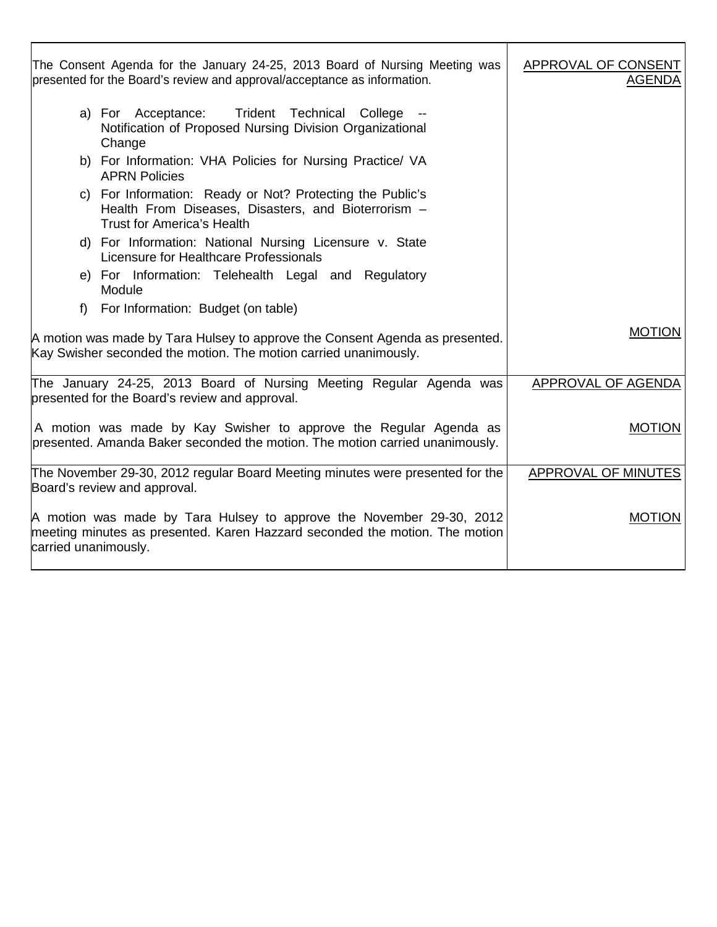| The Consent Agenda for the January 24-25, 2013 Board of Nursing Meeting was<br>presented for the Board's review and approval/acceptance as information.                     | APPROVAL OF CONSENT<br><b>AGENDA</b> |
|-----------------------------------------------------------------------------------------------------------------------------------------------------------------------------|--------------------------------------|
| Trident Technical College --<br>a) For Acceptance:<br>Notification of Proposed Nursing Division Organizational<br>Change                                                    |                                      |
| b) For Information: VHA Policies for Nursing Practice/ VA<br><b>APRN Policies</b>                                                                                           |                                      |
| c) For Information: Ready or Not? Protecting the Public's<br>Health From Diseases, Disasters, and Bioterrorism -<br><b>Trust for America's Health</b>                       |                                      |
| d) For Information: National Nursing Licensure v. State<br>Licensure for Healthcare Professionals                                                                           |                                      |
| e) For Information: Telehealth Legal and Regulatory<br>Module                                                                                                               |                                      |
| For Information: Budget (on table)<br>f                                                                                                                                     |                                      |
| A motion was made by Tara Hulsey to approve the Consent Agenda as presented.<br>Kay Swisher seconded the motion. The motion carried unanimously.                            | <b>MOTION</b>                        |
| The January 24-25, 2013 Board of Nursing Meeting Regular Agenda was<br>presented for the Board's review and approval.                                                       | APPROVAL OF AGENDA                   |
| A motion was made by Kay Swisher to approve the Regular Agenda as<br>presented. Amanda Baker seconded the motion. The motion carried unanimously.                           | <b>MOTION</b>                        |
| The November 29-30, 2012 regular Board Meeting minutes were presented for the<br>Board's review and approval.                                                               | <b>APPROVAL OF MINUTES</b>           |
| A motion was made by Tara Hulsey to approve the November 29-30, 2012<br>meeting minutes as presented. Karen Hazzard seconded the motion. The motion<br>carried unanimously. | <b>MOTION</b>                        |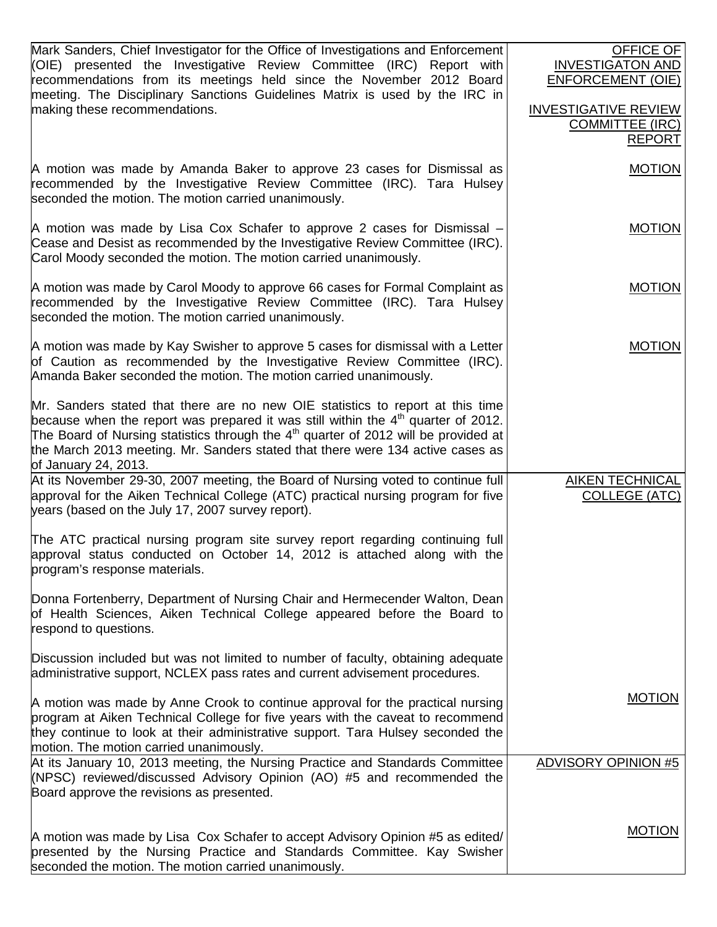| Mark Sanders, Chief Investigator for the Office of Investigations and Enforcement<br>(OIE) presented the Investigative Review Committee (IRC) Report with<br>recommendations from its meetings held since the November 2012 Board<br>meeting. The Disciplinary Sanctions Guidelines Matrix is used by the IRC in<br>making these recommendations.                        | OFFICE OF<br><b>INVESTIGATON AND</b><br><b>ENFORCEMENT (OIE)</b><br><b>INVESTIGATIVE REVIEW</b><br><b>COMMITTEE (IRC)</b><br><b>REPORT</b> |
|--------------------------------------------------------------------------------------------------------------------------------------------------------------------------------------------------------------------------------------------------------------------------------------------------------------------------------------------------------------------------|--------------------------------------------------------------------------------------------------------------------------------------------|
| A motion was made by Amanda Baker to approve 23 cases for Dismissal as<br>recommended by the Investigative Review Committee (IRC). Tara Hulsey<br>seconded the motion. The motion carried unanimously.                                                                                                                                                                   | <b>MOTION</b>                                                                                                                              |
| A motion was made by Lisa Cox Schafer to approve 2 cases for Dismissal –<br>Cease and Desist as recommended by the Investigative Review Committee (IRC).<br>Carol Moody seconded the motion. The motion carried unanimously.                                                                                                                                             | <b>MOTION</b>                                                                                                                              |
| A motion was made by Carol Moody to approve 66 cases for Formal Complaint as<br>recommended by the Investigative Review Committee (IRC). Tara Hulsey<br>seconded the motion. The motion carried unanimously.                                                                                                                                                             | <b>MOTION</b>                                                                                                                              |
| A motion was made by Kay Swisher to approve 5 cases for dismissal with a Letter<br>of Caution as recommended by the Investigative Review Committee (IRC).<br>Amanda Baker seconded the motion. The motion carried unanimously.                                                                                                                                           | <b>MOTION</b>                                                                                                                              |
| Mr. Sanders stated that there are no new OIE statistics to report at this time<br>because when the report was prepared it was still within the $4th$ quarter of 2012.<br>The Board of Nursing statistics through the $4th$ quarter of 2012 will be provided at<br>the March 2013 meeting. Mr. Sanders stated that there were 134 active cases as<br>of January 24, 2013. |                                                                                                                                            |
| At its November 29-30, 2007 meeting, the Board of Nursing voted to continue full<br>approval for the Aiken Technical College (ATC) practical nursing program for five<br>years (based on the July 17, 2007 survey report).                                                                                                                                               | <b>AIKEN TECHNICAL</b><br><b>COLLEGE (ATC)</b>                                                                                             |
| The ATC practical nursing program site survey report regarding continuing full<br>approval status conducted on October 14, 2012 is attached along with the<br>program's response materials.                                                                                                                                                                              |                                                                                                                                            |
| Donna Fortenberry, Department of Nursing Chair and Hermecender Walton, Dean<br>of Health Sciences, Aiken Technical College appeared before the Board to<br>respond to questions.                                                                                                                                                                                         |                                                                                                                                            |
| Discussion included but was not limited to number of faculty, obtaining adequate<br>administrative support, NCLEX pass rates and current advisement procedures.                                                                                                                                                                                                          |                                                                                                                                            |
| A motion was made by Anne Crook to continue approval for the practical nursing<br>program at Aiken Technical College for five years with the caveat to recommend<br>they continue to look at their administrative support. Tara Hulsey seconded the<br>motion. The motion carried unanimously.                                                                           | <b>MOTION</b>                                                                                                                              |
| At its January 10, 2013 meeting, the Nursing Practice and Standards Committee<br>(NPSC) reviewed/discussed Advisory Opinion (AO) #5 and recommended the<br>Board approve the revisions as presented.                                                                                                                                                                     | <b>ADVISORY OPINION #5</b>                                                                                                                 |
| A motion was made by Lisa Cox Schafer to accept Advisory Opinion #5 as edited/<br>presented by the Nursing Practice and Standards Committee. Kay Swisher<br>seconded the motion. The motion carried unanimously.                                                                                                                                                         | <b>MOTION</b>                                                                                                                              |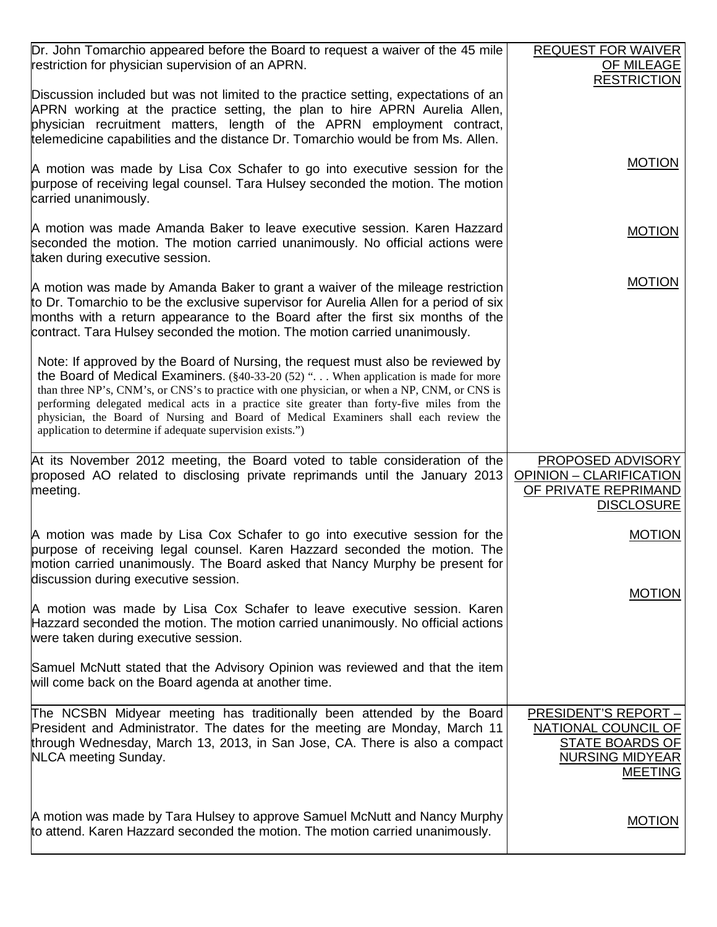| Dr. John Tomarchio appeared before the Board to request a waiver of the 45 mile<br>restriction for physician supervision of an APRN.                                                                                                                                                                                                                                                                                                                                                                                                      | <b>REQUEST FOR WAIVER</b><br>OF MILEAGE<br><b>RESTRICTION</b>                                                            |
|-------------------------------------------------------------------------------------------------------------------------------------------------------------------------------------------------------------------------------------------------------------------------------------------------------------------------------------------------------------------------------------------------------------------------------------------------------------------------------------------------------------------------------------------|--------------------------------------------------------------------------------------------------------------------------|
| Discussion included but was not limited to the practice setting, expectations of an<br>APRN working at the practice setting, the plan to hire APRN Aurelia Allen,<br>physician recruitment matters, length of the APRN employment contract,<br>telemedicine capabilities and the distance Dr. Tomarchio would be from Ms. Allen.                                                                                                                                                                                                          |                                                                                                                          |
| A motion was made by Lisa Cox Schafer to go into executive session for the<br>purpose of receiving legal counsel. Tara Hulsey seconded the motion. The motion<br>carried unanimously.                                                                                                                                                                                                                                                                                                                                                     | <b>MOTION</b>                                                                                                            |
| A motion was made Amanda Baker to leave executive session. Karen Hazzard<br>seconded the motion. The motion carried unanimously. No official actions were<br>taken during executive session.                                                                                                                                                                                                                                                                                                                                              | <b>MOTION</b>                                                                                                            |
| A motion was made by Amanda Baker to grant a waiver of the mileage restriction<br>to Dr. Tomarchio to be the exclusive supervisor for Aurelia Allen for a period of six<br>months with a return appearance to the Board after the first six months of the<br>contract. Tara Hulsey seconded the motion. The motion carried unanimously.                                                                                                                                                                                                   | <b>MOTION</b>                                                                                                            |
| Note: If approved by the Board of Nursing, the request must also be reviewed by<br>the Board of Medical Examiners. $(\frac{20.33}{20.33})$ (52) " When application is made for more<br>than three NP's, CNM's, or CNS's to practice with one physician, or when a NP, CNM, or CNS is<br>performing delegated medical acts in a practice site greater than forty-five miles from the<br>physician, the Board of Nursing and Board of Medical Examiners shall each review the<br>application to determine if adequate supervision exists.") |                                                                                                                          |
|                                                                                                                                                                                                                                                                                                                                                                                                                                                                                                                                           |                                                                                                                          |
| At its November 2012 meeting, the Board voted to table consideration of the<br>proposed AO related to disclosing private reprimands until the January 2013<br>meeting.                                                                                                                                                                                                                                                                                                                                                                    | <b>PROPOSED ADVISORY</b><br>OPINION - CLARIFICATION<br>OF PRIVATE REPRIMAND<br><b>DISCLOSURE</b>                         |
| A motion was made by Lisa Cox Schafer to go into executive session for the<br>purpose of receiving legal counsel. Karen Hazzard seconded the motion. The<br>motion carried unanimously. The Board asked that Nancy Murphy be present for<br>discussion during executive session.                                                                                                                                                                                                                                                          | <b>MOTION</b>                                                                                                            |
| A motion was made by Lisa Cox Schafer to leave executive session. Karen<br>Hazzard seconded the motion. The motion carried unanimously. No official actions<br>were taken during executive session.                                                                                                                                                                                                                                                                                                                                       | <b>MOTION</b>                                                                                                            |
| Samuel McNutt stated that the Advisory Opinion was reviewed and that the item<br>will come back on the Board agenda at another time.                                                                                                                                                                                                                                                                                                                                                                                                      |                                                                                                                          |
| The NCSBN Midyear meeting has traditionally been attended by the Board<br>President and Administrator. The dates for the meeting are Monday, March 11<br>through Wednesday, March 13, 2013, in San Jose, CA. There is also a compact<br><b>NLCA</b> meeting Sunday.                                                                                                                                                                                                                                                                       | <b>PRESIDENT'S REPORT -</b><br><b>NATIONAL COUNCIL OF</b><br>STATE BOARDS OF<br><b>NURSING MIDYEAR</b><br><b>MEETING</b> |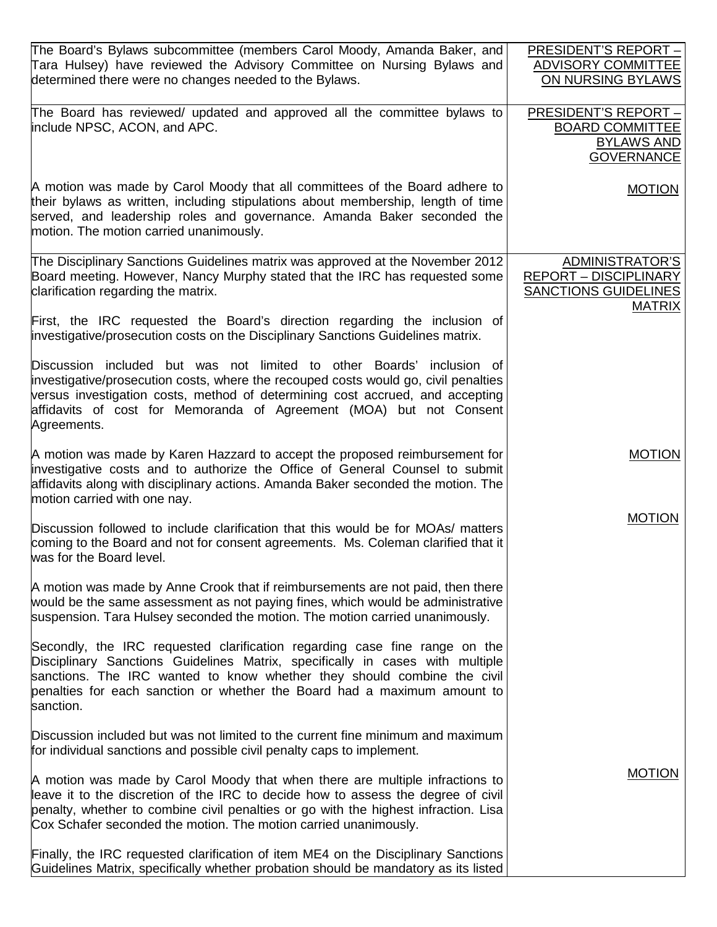| The Board's Bylaws subcommittee (members Carol Moody, Amanda Baker, and<br>Tara Hulsey) have reviewed the Advisory Committee on Nursing Bylaws and<br>determined there were no changes needed to the Bylaws.                                                                                                                        | <b>PRESIDENT'S REPORT -</b><br>ADVISORY COMMITTEE<br>ON NURSING BYLAWS                                 |
|-------------------------------------------------------------------------------------------------------------------------------------------------------------------------------------------------------------------------------------------------------------------------------------------------------------------------------------|--------------------------------------------------------------------------------------------------------|
| The Board has reviewed/ updated and approved all the committee bylaws to<br>include NPSC, ACON, and APC.                                                                                                                                                                                                                            | <b>PRESIDENT'S REPORT -</b><br><b>BOARD COMMITTEE</b><br><b>BYLAWS AND</b><br><b>GOVERNANCE</b>        |
| A motion was made by Carol Moody that all committees of the Board adhere to<br>their bylaws as written, including stipulations about membership, length of time<br>served, and leadership roles and governance. Amanda Baker seconded the<br>motion. The motion carried unanimously.                                                | <b>MOTION</b>                                                                                          |
| The Disciplinary Sanctions Guidelines matrix was approved at the November 2012<br>Board meeting. However, Nancy Murphy stated that the IRC has requested some<br>clarification regarding the matrix.                                                                                                                                | <b>ADMINISTRATOR'S</b><br><b>REPORT - DISCIPLINARY</b><br><b>SANCTIONS GUIDELINES</b><br><b>MATRIX</b> |
| First, the IRC requested the Board's direction regarding the inclusion of<br>investigative/prosecution costs on the Disciplinary Sanctions Guidelines matrix.                                                                                                                                                                       |                                                                                                        |
| Discussion included but was not limited to other Boards' inclusion of<br>investigative/prosecution costs, where the recouped costs would go, civil penalties<br>versus investigation costs, method of determining cost accrued, and accepting<br>affidavits of cost for Memoranda of Agreement (MOA) but not Consent<br>Agreements. |                                                                                                        |
| A motion was made by Karen Hazzard to accept the proposed reimbursement for<br>investigative costs and to authorize the Office of General Counsel to submit<br>affidavits along with disciplinary actions. Amanda Baker seconded the motion. The<br>motion carried with one nay.                                                    | <b>MOTION</b>                                                                                          |
| Discussion followed to include clarification that this would be for MOAs/ matters<br>coming to the Board and not for consent agreements. Ms. Coleman clarified that it<br>was for the Board level.                                                                                                                                  | <b>MOTION</b>                                                                                          |
| A motion was made by Anne Crook that if reimbursements are not paid, then there<br>would be the same assessment as not paying fines, which would be administrative<br>suspension. Tara Hulsey seconded the motion. The motion carried unanimously.                                                                                  |                                                                                                        |
| Secondly, the IRC requested clarification regarding case fine range on the<br>Disciplinary Sanctions Guidelines Matrix, specifically in cases with multiple<br>sanctions. The IRC wanted to know whether they should combine the civil<br>penalties for each sanction or whether the Board had a maximum amount to<br>sanction.     |                                                                                                        |
| Discussion included but was not limited to the current fine minimum and maximum<br>for individual sanctions and possible civil penalty caps to implement.                                                                                                                                                                           |                                                                                                        |
| A motion was made by Carol Moody that when there are multiple infractions to<br>leave it to the discretion of the IRC to decide how to assess the degree of civil<br>penalty, whether to combine civil penalties or go with the highest infraction. Lisa<br>Cox Schafer seconded the motion. The motion carried unanimously.        | <b>MOTION</b>                                                                                          |
| Finally, the IRC requested clarification of item ME4 on the Disciplinary Sanctions<br>Guidelines Matrix, specifically whether probation should be mandatory as its listed                                                                                                                                                           |                                                                                                        |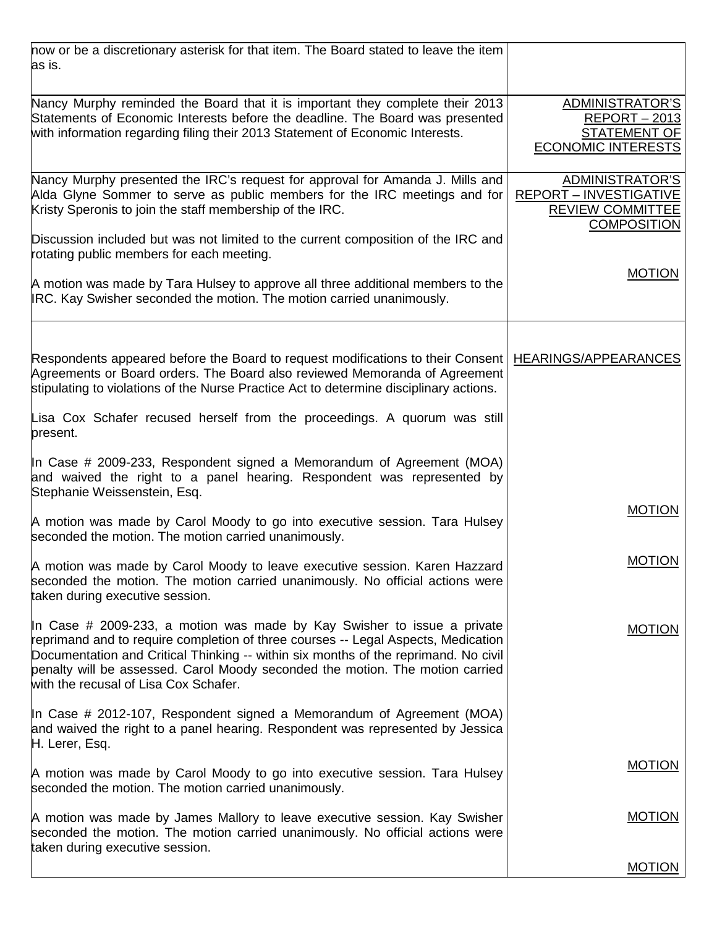| now or be a discretionary asterisk for that item. The Board stated to leave the item<br>as is.                                                                                                                                                                                                                                                                                |                                                                                                   |
|-------------------------------------------------------------------------------------------------------------------------------------------------------------------------------------------------------------------------------------------------------------------------------------------------------------------------------------------------------------------------------|---------------------------------------------------------------------------------------------------|
| Nancy Murphy reminded the Board that it is important they complete their 2013<br>Statements of Economic Interests before the deadline. The Board was presented<br>with information regarding filing their 2013 Statement of Economic Interests.                                                                                                                               | ADMINISTRATOR'S<br><b>REPORT - 2013</b><br><b>STATEMENT OF</b><br><b>ECONOMIC INTERESTS</b>       |
| Nancy Murphy presented the IRC's request for approval for Amanda J. Mills and<br>Alda Glyne Sommer to serve as public members for the IRC meetings and for<br>Kristy Speronis to join the staff membership of the IRC.                                                                                                                                                        | ADMINISTRATOR'S<br><b>REPORT - INVESTIGATIVE</b><br><b>REVIEW COMMITTEE</b><br><b>COMPOSITION</b> |
| Discussion included but was not limited to the current composition of the IRC and<br>rotating public members for each meeting.                                                                                                                                                                                                                                                |                                                                                                   |
| A motion was made by Tara Hulsey to approve all three additional members to the<br>IRC. Kay Swisher seconded the motion. The motion carried unanimously.                                                                                                                                                                                                                      | <b>MOTION</b>                                                                                     |
| Respondents appeared before the Board to request modifications to their Consent<br>Agreements or Board orders. The Board also reviewed Memoranda of Agreement<br>stipulating to violations of the Nurse Practice Act to determine disciplinary actions.                                                                                                                       | HEARINGS/APPEARANCES                                                                              |
| Lisa Cox Schafer recused herself from the proceedings. A quorum was still<br>present.                                                                                                                                                                                                                                                                                         |                                                                                                   |
| In Case # 2009-233, Respondent signed a Memorandum of Agreement (MOA)<br>and waived the right to a panel hearing. Respondent was represented by<br>Stephanie Weissenstein, Esq.                                                                                                                                                                                               |                                                                                                   |
| A motion was made by Carol Moody to go into executive session. Tara Hulsey<br>seconded the motion. The motion carried unanimously.                                                                                                                                                                                                                                            | <b>MOTION</b>                                                                                     |
| A motion was made by Carol Moody to leave executive session. Karen Hazzard<br>seconded the motion. The motion carried unanimously. No official actions were<br>taken during executive session.                                                                                                                                                                                | <b>MOTION</b>                                                                                     |
| In Case # 2009-233, a motion was made by Kay Swisher to issue a private<br>reprimand and to require completion of three courses -- Legal Aspects, Medication<br>Documentation and Critical Thinking -- within six months of the reprimand. No civil<br>penalty will be assessed. Carol Moody seconded the motion. The motion carried<br>with the recusal of Lisa Cox Schafer. | <b>MOTION</b>                                                                                     |
| In Case # 2012-107, Respondent signed a Memorandum of Agreement (MOA)<br>and waived the right to a panel hearing. Respondent was represented by Jessica<br>H. Lerer, Esq.                                                                                                                                                                                                     |                                                                                                   |
| A motion was made by Carol Moody to go into executive session. Tara Hulsey<br>seconded the motion. The motion carried unanimously.                                                                                                                                                                                                                                            | <b>MOTION</b>                                                                                     |
| A motion was made by James Mallory to leave executive session. Kay Swisher<br>seconded the motion. The motion carried unanimously. No official actions were<br>taken during executive session.                                                                                                                                                                                | <b>MOTION</b>                                                                                     |
|                                                                                                                                                                                                                                                                                                                                                                               | <b>MOTION</b>                                                                                     |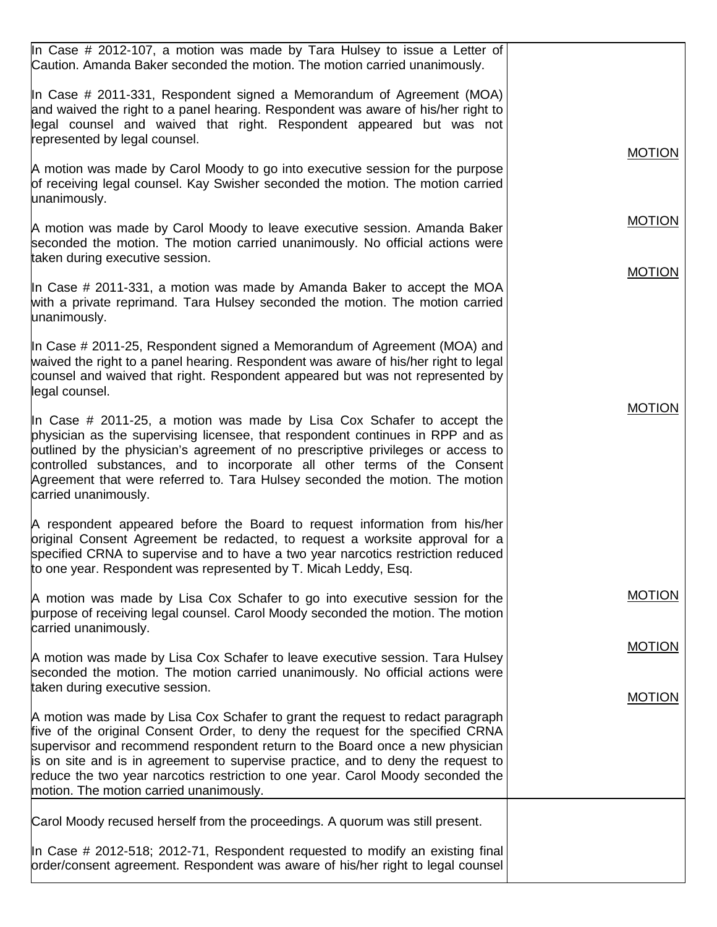| In Case # 2012-107, a motion was made by Tara Hulsey to issue a Letter of<br>Caution. Amanda Baker seconded the motion. The motion carried unanimously.                                                                                                                                                                                                                                                                                                            |               |
|--------------------------------------------------------------------------------------------------------------------------------------------------------------------------------------------------------------------------------------------------------------------------------------------------------------------------------------------------------------------------------------------------------------------------------------------------------------------|---------------|
| In Case # 2011-331, Respondent signed a Memorandum of Agreement (MOA)<br>and waived the right to a panel hearing. Respondent was aware of his/her right to<br>legal counsel and waived that right. Respondent appeared but was not<br>represented by legal counsel.                                                                                                                                                                                                |               |
| A motion was made by Carol Moody to go into executive session for the purpose<br>of receiving legal counsel. Kay Swisher seconded the motion. The motion carried<br>unanimously.                                                                                                                                                                                                                                                                                   | <b>MOTION</b> |
| A motion was made by Carol Moody to leave executive session. Amanda Baker<br>seconded the motion. The motion carried unanimously. No official actions were<br>taken during executive session.                                                                                                                                                                                                                                                                      | <b>MOTION</b> |
| In Case # 2011-331, a motion was made by Amanda Baker to accept the MOA<br>with a private reprimand. Tara Hulsey seconded the motion. The motion carried<br>unanimously.                                                                                                                                                                                                                                                                                           | <b>MOTION</b> |
| In Case # 2011-25, Respondent signed a Memorandum of Agreement (MOA) and<br>waived the right to a panel hearing. Respondent was aware of his/her right to legal<br>counsel and waived that right. Respondent appeared but was not represented by<br>legal counsel.                                                                                                                                                                                                 |               |
| In Case # 2011-25, a motion was made by Lisa Cox Schafer to accept the<br>physician as the supervising licensee, that respondent continues in RPP and as<br>outlined by the physician's agreement of no prescriptive privileges or access to<br>controlled substances, and to incorporate all other terms of the Consent<br>Agreement that were referred to. Tara Hulsey seconded the motion. The motion<br>carried unanimously.                                   | <b>MOTION</b> |
| A respondent appeared before the Board to request information from his/her<br>original Consent Agreement be redacted, to request a worksite approval for a<br>specified CRNA to supervise and to have a two year narcotics restriction reduced<br>to one year. Respondent was represented by T. Micah Leddy, Esq.                                                                                                                                                  |               |
| A motion was made by Lisa Cox Schafer to go into executive session for the<br>purpose of receiving legal counsel. Carol Moody seconded the motion. The motion<br>carried unanimously.                                                                                                                                                                                                                                                                              | <b>MOTION</b> |
| A motion was made by Lisa Cox Schafer to leave executive session. Tara Hulsey<br>seconded the motion. The motion carried unanimously. No official actions were<br>taken during executive session.                                                                                                                                                                                                                                                                  | <b>MOTION</b> |
| A motion was made by Lisa Cox Schafer to grant the request to redact paragraph<br>five of the original Consent Order, to deny the request for the specified CRNA<br>supervisor and recommend respondent return to the Board once a new physician<br>is on site and is in agreement to supervise practice, and to deny the request to<br>reduce the two year narcotics restriction to one year. Carol Moody seconded the<br>motion. The motion carried unanimously. | <b>MOTION</b> |
| Carol Moody recused herself from the proceedings. A quorum was still present.                                                                                                                                                                                                                                                                                                                                                                                      |               |
| In Case # 2012-518; 2012-71, Respondent requested to modify an existing final<br>order/consent agreement. Respondent was aware of his/her right to legal counsel                                                                                                                                                                                                                                                                                                   |               |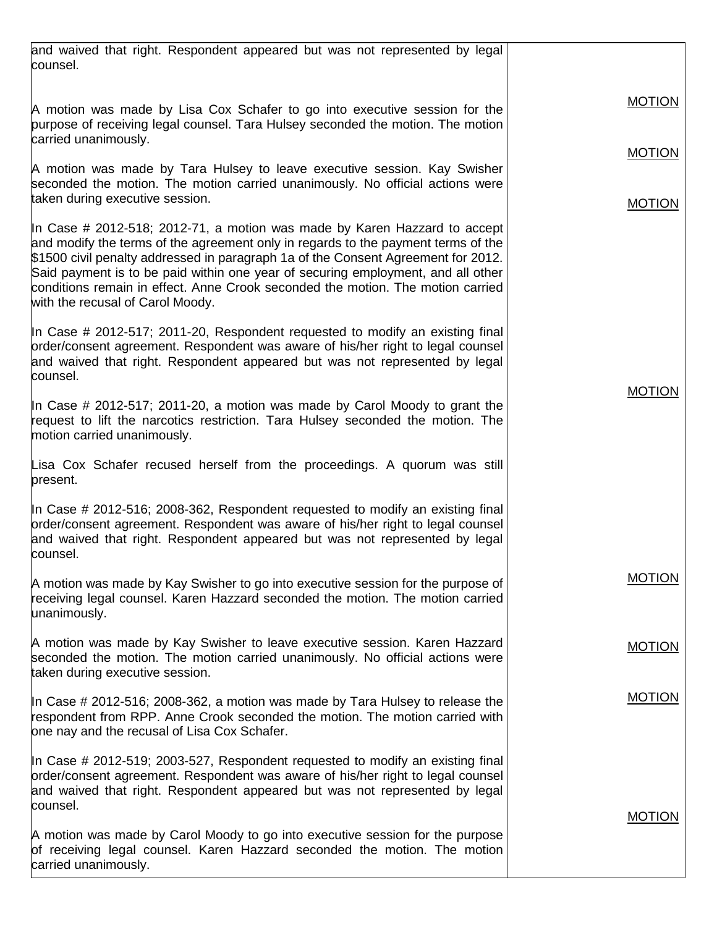| and waived that right. Respondent appeared but was not represented by legal<br>counsel.                                                                                                                                                                                                                                                                                                                                                                        |               |
|----------------------------------------------------------------------------------------------------------------------------------------------------------------------------------------------------------------------------------------------------------------------------------------------------------------------------------------------------------------------------------------------------------------------------------------------------------------|---------------|
| A motion was made by Lisa Cox Schafer to go into executive session for the<br>purpose of receiving legal counsel. Tara Hulsey seconded the motion. The motion<br>carried unanimously.                                                                                                                                                                                                                                                                          | <b>MOTION</b> |
|                                                                                                                                                                                                                                                                                                                                                                                                                                                                | <b>MOTION</b> |
| A motion was made by Tara Hulsey to leave executive session. Kay Swisher<br>seconded the motion. The motion carried unanimously. No official actions were<br>taken during executive session.                                                                                                                                                                                                                                                                   | <b>MOTION</b> |
| In Case # 2012-518; 2012-71, a motion was made by Karen Hazzard to accept<br>and modify the terms of the agreement only in regards to the payment terms of the<br>\$1500 civil penalty addressed in paragraph 1a of the Consent Agreement for 2012.<br>Said payment is to be paid within one year of securing employment, and all other<br>conditions remain in effect. Anne Crook seconded the motion. The motion carried<br>with the recusal of Carol Moody. |               |
| In Case # 2012-517; 2011-20, Respondent requested to modify an existing final<br>order/consent agreement. Respondent was aware of his/her right to legal counsel<br>and waived that right. Respondent appeared but was not represented by legal<br>counsel.                                                                                                                                                                                                    |               |
| In Case # 2012-517; 2011-20, a motion was made by Carol Moody to grant the<br>request to lift the narcotics restriction. Tara Hulsey seconded the motion. The<br>motion carried unanimously.                                                                                                                                                                                                                                                                   | <b>MOTION</b> |
| Lisa Cox Schafer recused herself from the proceedings. A quorum was still<br>present.                                                                                                                                                                                                                                                                                                                                                                          |               |
| In Case # 2012-516; 2008-362, Respondent requested to modify an existing final<br>order/consent agreement. Respondent was aware of his/her right to legal counsel<br>and waived that right. Respondent appeared but was not represented by legal<br>counsel.                                                                                                                                                                                                   |               |
| A motion was made by Kay Swisher to go into executive session for the purpose of<br>receiving legal counsel. Karen Hazzard seconded the motion. The motion carried<br>unanimously.                                                                                                                                                                                                                                                                             | <b>MOTION</b> |
| A motion was made by Kay Swisher to leave executive session. Karen Hazzard<br>seconded the motion. The motion carried unanimously. No official actions were<br>taken during executive session.                                                                                                                                                                                                                                                                 | <b>MOTION</b> |
| In Case # 2012-516; 2008-362, a motion was made by Tara Hulsey to release the<br>respondent from RPP. Anne Crook seconded the motion. The motion carried with<br>one nay and the recusal of Lisa Cox Schafer.                                                                                                                                                                                                                                                  | <b>MOTION</b> |
| In Case # 2012-519; 2003-527, Respondent requested to modify an existing final<br>order/consent agreement. Respondent was aware of his/her right to legal counsel<br>and waived that right. Respondent appeared but was not represented by legal<br>counsel.                                                                                                                                                                                                   | <b>MOTION</b> |
| A motion was made by Carol Moody to go into executive session for the purpose<br>of receiving legal counsel. Karen Hazzard seconded the motion. The motion<br>carried unanimously.                                                                                                                                                                                                                                                                             |               |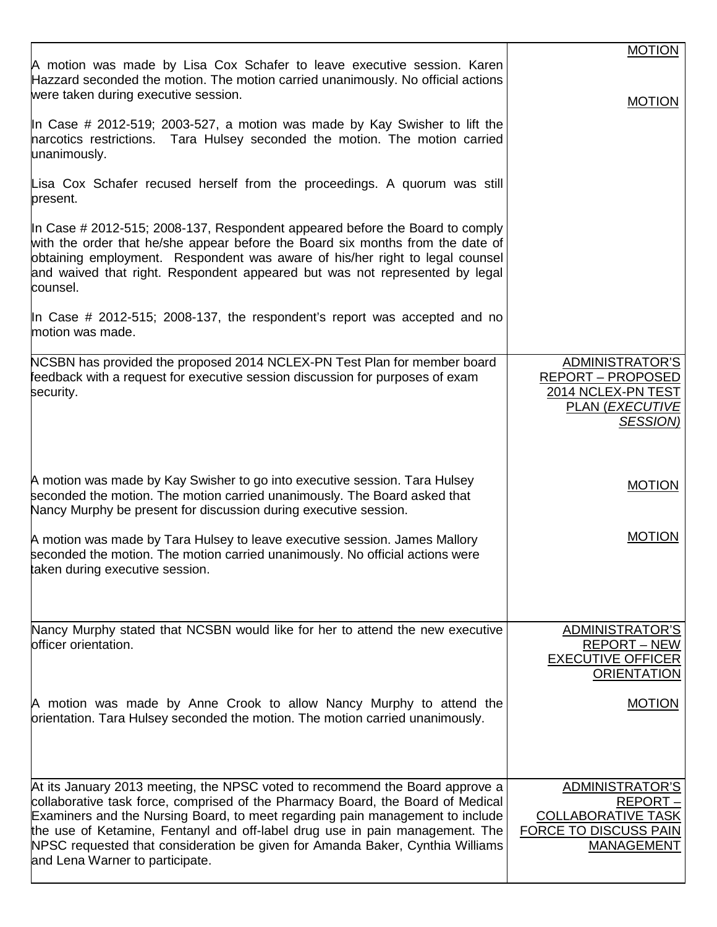|                                                                                                                                                                                                                                                                                                                                                                                                                                                      | <b>MOTION</b>                                                                                                         |
|------------------------------------------------------------------------------------------------------------------------------------------------------------------------------------------------------------------------------------------------------------------------------------------------------------------------------------------------------------------------------------------------------------------------------------------------------|-----------------------------------------------------------------------------------------------------------------------|
| A motion was made by Lisa Cox Schafer to leave executive session. Karen<br>Hazzard seconded the motion. The motion carried unanimously. No official actions<br>were taken during executive session.                                                                                                                                                                                                                                                  |                                                                                                                       |
| In Case # 2012-519; 2003-527, a motion was made by Kay Swisher to lift the<br>narcotics restrictions. Tara Hulsey seconded the motion. The motion carried<br>unanimously.                                                                                                                                                                                                                                                                            | <b>MOTION</b>                                                                                                         |
| Lisa Cox Schafer recused herself from the proceedings. A quorum was still<br>present.                                                                                                                                                                                                                                                                                                                                                                |                                                                                                                       |
| In Case # 2012-515; 2008-137, Respondent appeared before the Board to comply<br>with the order that he/she appear before the Board six months from the date of<br>obtaining employment. Respondent was aware of his/her right to legal counsel<br>and waived that right. Respondent appeared but was not represented by legal<br>counsel.                                                                                                            |                                                                                                                       |
| In Case # 2012-515; 2008-137, the respondent's report was accepted and no<br>motion was made.                                                                                                                                                                                                                                                                                                                                                        |                                                                                                                       |
| NCSBN has provided the proposed 2014 NCLEX-PN Test Plan for member board<br>feedback with a request for executive session discussion for purposes of exam<br>security.                                                                                                                                                                                                                                                                               | <b>ADMINISTRATOR'S</b><br><b>REPORT - PROPOSED</b><br>2014 NCLEX-PN TEST<br><b>PLAN (EXECUTIVE</b><br><b>SESSION)</b> |
| A motion was made by Kay Swisher to go into executive session. Tara Hulsey<br>seconded the motion. The motion carried unanimously. The Board asked that<br>Nancy Murphy be present for discussion during executive session.                                                                                                                                                                                                                          | <b>MOTION</b>                                                                                                         |
| A motion was made by Tara Hulsey to leave executive session. James Mallory<br>seconded the motion. The motion carried unanimously. No official actions were<br>taken during executive session.                                                                                                                                                                                                                                                       | <b>MOTION</b>                                                                                                         |
| Nancy Murphy stated that NCSBN would like for her to attend the new executive<br>officer orientation.                                                                                                                                                                                                                                                                                                                                                | ADMINISTRATOR'S<br><b>REPORT - NEW</b><br><b>EXECUTIVE OFFICER</b><br><b>ORIENTATION</b>                              |
| A motion was made by Anne Crook to allow Nancy Murphy to attend the<br>orientation. Tara Hulsey seconded the motion. The motion carried unanimously.                                                                                                                                                                                                                                                                                                 | <b>MOTION</b>                                                                                                         |
| At its January 2013 meeting, the NPSC voted to recommend the Board approve a<br>collaborative task force, comprised of the Pharmacy Board, the Board of Medical<br>Examiners and the Nursing Board, to meet regarding pain management to include<br>the use of Ketamine, Fentanyl and off-label drug use in pain management. The<br>NPSC requested that consideration be given for Amanda Baker, Cynthia Williams<br>and Lena Warner to participate. | ADMINISTRATOR'S<br>REPORT-<br><b>COLLABORATIVE TASK</b><br><b>FORCE TO DISCUSS PAIN</b><br><b>MANAGEMENT</b>          |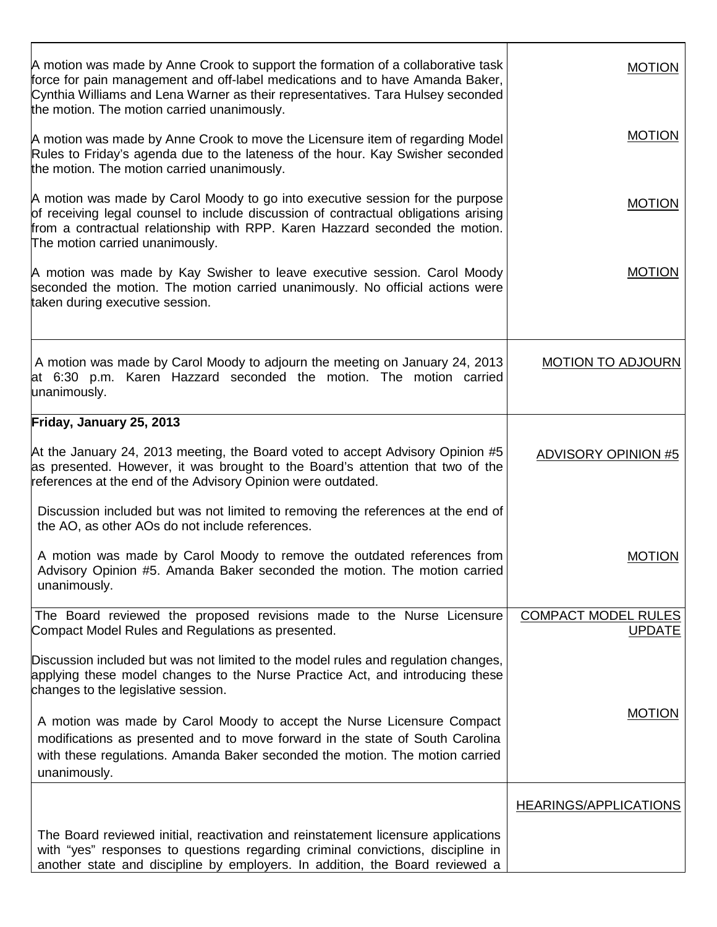| A motion was made by Anne Crook to support the formation of a collaborative task<br>force for pain management and off-label medications and to have Amanda Baker,<br>Cynthia Williams and Lena Warner as their representatives. Tara Hulsey seconded<br>the motion. The motion carried unanimously. | <b>MOTION</b>                               |
|-----------------------------------------------------------------------------------------------------------------------------------------------------------------------------------------------------------------------------------------------------------------------------------------------------|---------------------------------------------|
| A motion was made by Anne Crook to move the Licensure item of regarding Model<br>Rules to Friday's agenda due to the lateness of the hour. Kay Swisher seconded<br>the motion. The motion carried unanimously.                                                                                      | <b>MOTION</b>                               |
| A motion was made by Carol Moody to go into executive session for the purpose<br>of receiving legal counsel to include discussion of contractual obligations arising<br>from a contractual relationship with RPP. Karen Hazzard seconded the motion.<br>The motion carried unanimously.             | <b>MOTION</b>                               |
| A motion was made by Kay Swisher to leave executive session. Carol Moody<br>seconded the motion. The motion carried unanimously. No official actions were<br>taken during executive session.                                                                                                        | <b>MOTION</b>                               |
| A motion was made by Carol Moody to adjourn the meeting on January 24, 2013<br>at 6:30 p.m. Karen Hazzard seconded the motion. The motion carried<br>unanimously.                                                                                                                                   | <b>MOTION TO ADJOURN</b>                    |
| Friday, January 25, 2013                                                                                                                                                                                                                                                                            |                                             |
| At the January 24, 2013 meeting, the Board voted to accept Advisory Opinion #5<br>as presented. However, it was brought to the Board's attention that two of the<br>references at the end of the Advisory Opinion were outdated.                                                                    | <b>ADVISORY OPINION #5</b>                  |
| Discussion included but was not limited to removing the references at the end of<br>the AO, as other AOs do not include references.                                                                                                                                                                 |                                             |
| A motion was made by Carol Moody to remove the outdated references from<br>Advisory Opinion #5. Amanda Baker seconded the motion. The motion carried<br>unanimously.                                                                                                                                | <b>MOTION</b>                               |
| The Board reviewed the proposed revisions made to the Nurse Licensure<br>Compact Model Rules and Regulations as presented.                                                                                                                                                                          | <b>COMPACT MODEL RULES</b><br><b>UPDATE</b> |
| Discussion included but was not limited to the model rules and regulation changes,<br>applying these model changes to the Nurse Practice Act, and introducing these<br>changes to the legislative session.                                                                                          |                                             |
| A motion was made by Carol Moody to accept the Nurse Licensure Compact<br>modifications as presented and to move forward in the state of South Carolina<br>with these regulations. Amanda Baker seconded the motion. The motion carried<br>unanimously.                                             | <b>MOTION</b>                               |
|                                                                                                                                                                                                                                                                                                     | <b>HEARINGS/APPLICATIONS</b>                |
| The Board reviewed initial, reactivation and reinstatement licensure applications<br>with "yes" responses to questions regarding criminal convictions, discipline in<br>another state and discipline by employers. In addition, the Board reviewed a                                                |                                             |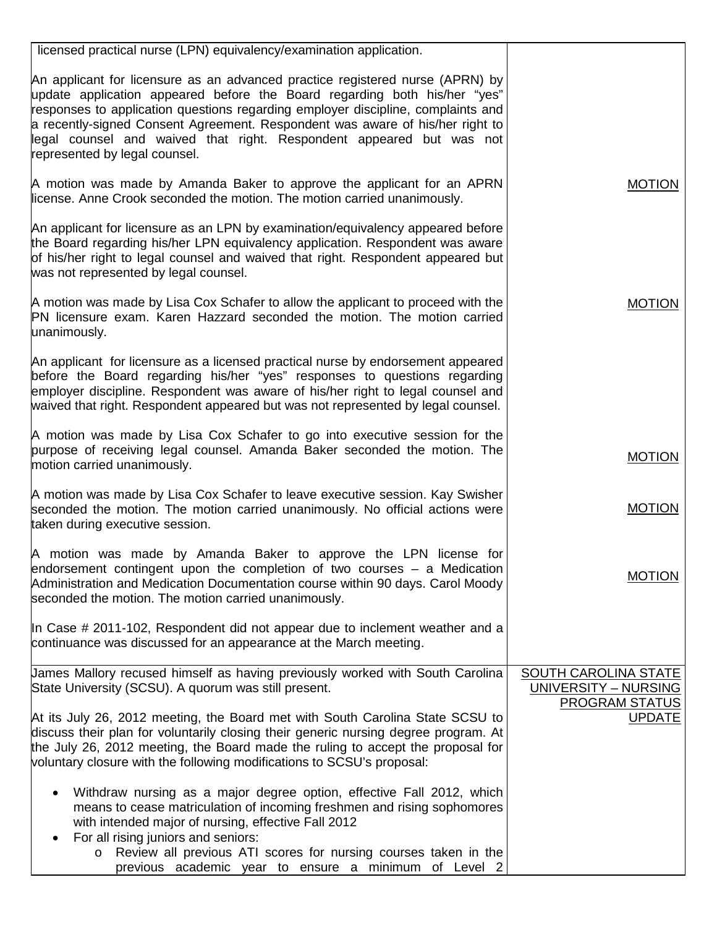| licensed practical nurse (LPN) equivalency/examination application.                                                                                                                                                                                                                                                                                                                                                                      |                                                     |
|------------------------------------------------------------------------------------------------------------------------------------------------------------------------------------------------------------------------------------------------------------------------------------------------------------------------------------------------------------------------------------------------------------------------------------------|-----------------------------------------------------|
| An applicant for licensure as an advanced practice registered nurse (APRN) by<br>update application appeared before the Board regarding both his/her "yes"<br>responses to application questions regarding employer discipline, complaints and<br>a recently-signed Consent Agreement. Respondent was aware of his/her right to<br>legal counsel and waived that right. Respondent appeared but was not<br>represented by legal counsel. |                                                     |
| A motion was made by Amanda Baker to approve the applicant for an APRN<br>license. Anne Crook seconded the motion. The motion carried unanimously.                                                                                                                                                                                                                                                                                       | <b>MOTION</b>                                       |
| An applicant for licensure as an LPN by examination/equivalency appeared before<br>the Board regarding his/her LPN equivalency application. Respondent was aware<br>of his/her right to legal counsel and waived that right. Respondent appeared but<br>was not represented by legal counsel.                                                                                                                                            |                                                     |
| A motion was made by Lisa Cox Schafer to allow the applicant to proceed with the<br>PN licensure exam. Karen Hazzard seconded the motion. The motion carried<br>unanimously.                                                                                                                                                                                                                                                             | <b>MOTION</b>                                       |
| An applicant for licensure as a licensed practical nurse by endorsement appeared<br>before the Board regarding his/her "yes" responses to questions regarding<br>employer discipline. Respondent was aware of his/her right to legal counsel and<br>waived that right. Respondent appeared but was not represented by legal counsel.                                                                                                     |                                                     |
| A motion was made by Lisa Cox Schafer to go into executive session for the<br>purpose of receiving legal counsel. Amanda Baker seconded the motion. The<br>motion carried unanimously.                                                                                                                                                                                                                                                   | <b>MOTION</b>                                       |
| A motion was made by Lisa Cox Schafer to leave executive session. Kay Swisher<br>seconded the motion. The motion carried unanimously. No official actions were<br>taken during executive session.                                                                                                                                                                                                                                        | <b>MOTION</b>                                       |
| A motion was made by Amanda Baker to approve the LPN license for<br>endorsement contingent upon the completion of two courses $-$ a Medication<br>Administration and Medication Documentation course within 90 days. Carol Moody<br>seconded the motion. The motion carried unanimously.                                                                                                                                                 | <b>MOTION</b>                                       |
| In Case # 2011-102, Respondent did not appear due to inclement weather and a<br>continuance was discussed for an appearance at the March meeting.                                                                                                                                                                                                                                                                                        |                                                     |
| James Mallory recused himself as having previously worked with South Carolina<br>State University (SCSU). A quorum was still present.                                                                                                                                                                                                                                                                                                    | <b>SOUTH CAROLINA STATE</b><br>UNIVERSITY - NURSING |
| At its July 26, 2012 meeting, the Board met with South Carolina State SCSU to<br>discuss their plan for voluntarily closing their generic nursing degree program. At<br>the July 26, 2012 meeting, the Board made the ruling to accept the proposal for<br>voluntary closure with the following modifications to SCSU's proposal:                                                                                                        | PROGRAM STATUS<br><b>UPDATE</b>                     |
| Withdraw nursing as a major degree option, effective Fall 2012, which<br>means to cease matriculation of incoming freshmen and rising sophomores<br>with intended major of nursing, effective Fall 2012<br>For all rising juniors and seniors:                                                                                                                                                                                           |                                                     |
| Review all previous ATI scores for nursing courses taken in the<br>$\circ$<br>previous academic year to ensure a minimum of Level 2                                                                                                                                                                                                                                                                                                      |                                                     |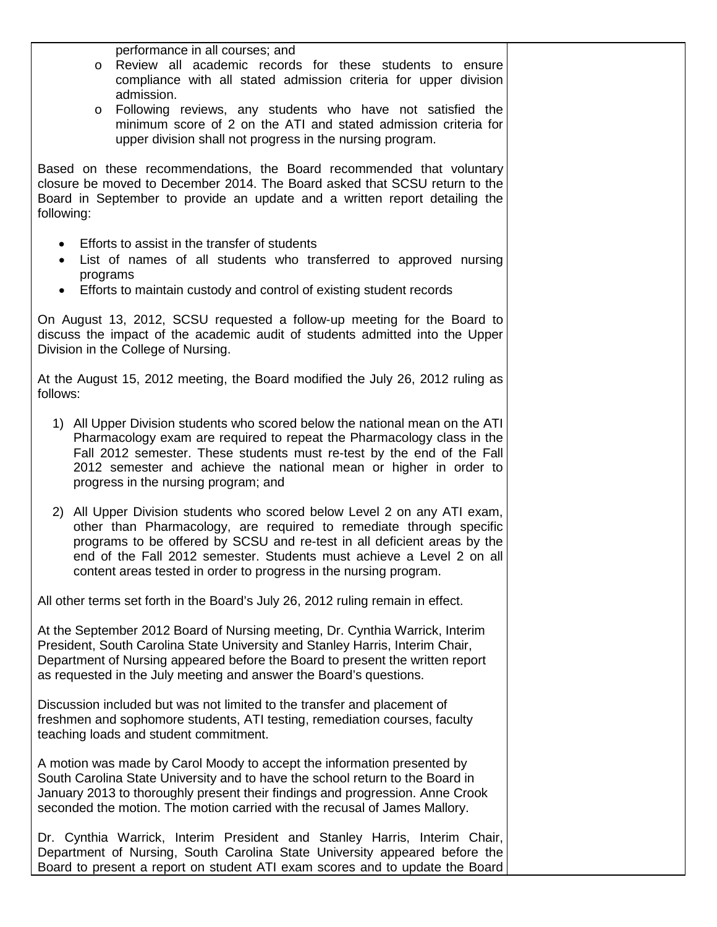performance in all courses; and

- o Review all academic records for these students to ensure compliance with all stated admission criteria for upper division admission.
- o Following reviews, any students who have not satisfied the minimum score of 2 on the ATI and stated admission criteria for upper division shall not progress in the nursing program.

Based on these recommendations, the Board recommended that voluntary closure be moved to December 2014. The Board asked that SCSU return to the Board in September to provide an update and a written report detailing the following:

- Efforts to assist in the transfer of students
- List of names of all students who transferred to approved nursing programs
- Efforts to maintain custody and control of existing student records

On August 13, 2012, SCSU requested a follow-up meeting for the Board to discuss the impact of the academic audit of students admitted into the Upper Division in the College of Nursing.

At the August 15, 2012 meeting, the Board modified the July 26, 2012 ruling as follows:

- 1) All Upper Division students who scored below the national mean on the ATI Pharmacology exam are required to repeat the Pharmacology class in the Fall 2012 semester. These students must re-test by the end of the Fall 2012 semester and achieve the national mean or higher in order to progress in the nursing program; and
- 2) All Upper Division students who scored below Level 2 on any ATI exam, other than Pharmacology, are required to remediate through specific programs to be offered by SCSU and re-test in all deficient areas by the end of the Fall 2012 semester. Students must achieve a Level 2 on all content areas tested in order to progress in the nursing program.

All other terms set forth in the Board's July 26, 2012 ruling remain in effect.

At the September 2012 Board of Nursing meeting, Dr. Cynthia Warrick, Interim President, South Carolina State University and Stanley Harris, Interim Chair, Department of Nursing appeared before the Board to present the written report as requested in the July meeting and answer the Board's questions.

Discussion included but was not limited to the transfer and placement of freshmen and sophomore students, ATI testing, remediation courses, faculty teaching loads and student commitment.

A motion was made by Carol Moody to accept the information presented by South Carolina State University and to have the school return to the Board in January 2013 to thoroughly present their findings and progression. Anne Crook seconded the motion. The motion carried with the recusal of James Mallory.

Dr. Cynthia Warrick, Interim President and Stanley Harris, Interim Chair, Department of Nursing, South Carolina State University appeared before the Board to present a report on student ATI exam scores and to update the Board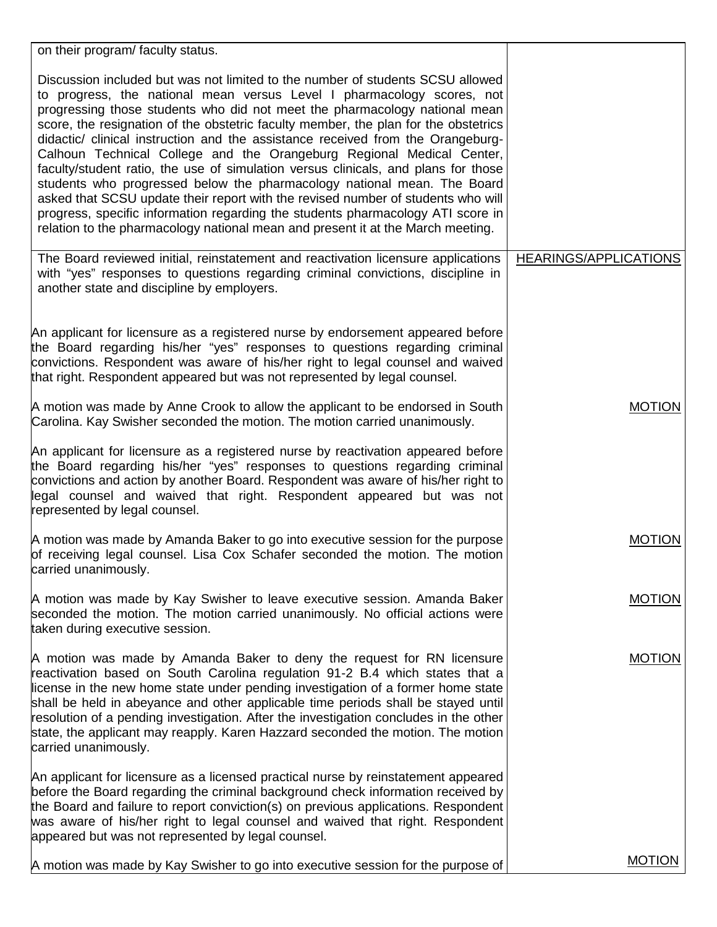| on their program/ faculty status.                                                                                                                                                                                                                                                                                                                                                                                                                                                                                                                                                                                                                                                                                                                                                                                                                                                                                    |                              |
|----------------------------------------------------------------------------------------------------------------------------------------------------------------------------------------------------------------------------------------------------------------------------------------------------------------------------------------------------------------------------------------------------------------------------------------------------------------------------------------------------------------------------------------------------------------------------------------------------------------------------------------------------------------------------------------------------------------------------------------------------------------------------------------------------------------------------------------------------------------------------------------------------------------------|------------------------------|
| Discussion included but was not limited to the number of students SCSU allowed<br>to progress, the national mean versus Level I pharmacology scores, not<br>progressing those students who did not meet the pharmacology national mean<br>score, the resignation of the obstetric faculty member, the plan for the obstetrics<br>didactic/ clinical instruction and the assistance received from the Orangeburg-<br>Calhoun Technical College and the Orangeburg Regional Medical Center,<br>faculty/student ratio, the use of simulation versus clinicals, and plans for those<br>students who progressed below the pharmacology national mean. The Board<br>asked that SCSU update their report with the revised number of students who will<br>progress, specific information regarding the students pharmacology ATI score in<br>relation to the pharmacology national mean and present it at the March meeting. |                              |
| The Board reviewed initial, reinstatement and reactivation licensure applications<br>with "yes" responses to questions regarding criminal convictions, discipline in<br>another state and discipline by employers.                                                                                                                                                                                                                                                                                                                                                                                                                                                                                                                                                                                                                                                                                                   | <b>HEARINGS/APPLICATIONS</b> |
| An applicant for licensure as a registered nurse by endorsement appeared before<br>the Board regarding his/her "yes" responses to questions regarding criminal<br>convictions. Respondent was aware of his/her right to legal counsel and waived<br>that right. Respondent appeared but was not represented by legal counsel.                                                                                                                                                                                                                                                                                                                                                                                                                                                                                                                                                                                        |                              |
| A motion was made by Anne Crook to allow the applicant to be endorsed in South<br>Carolina. Kay Swisher seconded the motion. The motion carried unanimously.                                                                                                                                                                                                                                                                                                                                                                                                                                                                                                                                                                                                                                                                                                                                                         | <b>MOTION</b>                |
| An applicant for licensure as a registered nurse by reactivation appeared before<br>the Board regarding his/her "yes" responses to questions regarding criminal<br>convictions and action by another Board. Respondent was aware of his/her right to<br>legal counsel and waived that right. Respondent appeared but was not<br>represented by legal counsel.                                                                                                                                                                                                                                                                                                                                                                                                                                                                                                                                                        |                              |
| A motion was made by Amanda Baker to go into executive session for the purpose<br>of receiving legal counsel. Lisa Cox Schafer seconded the motion. The motion<br>carried unanimously.                                                                                                                                                                                                                                                                                                                                                                                                                                                                                                                                                                                                                                                                                                                               | <b>MOTION</b>                |
| A motion was made by Kay Swisher to leave executive session. Amanda Baker<br>seconded the motion. The motion carried unanimously. No official actions were<br>taken during executive session.                                                                                                                                                                                                                                                                                                                                                                                                                                                                                                                                                                                                                                                                                                                        | <b>MOTION</b>                |
| A motion was made by Amanda Baker to deny the request for RN licensure<br>reactivation based on South Carolina regulation 91-2 B.4 which states that a<br>license in the new home state under pending investigation of a former home state<br>shall be held in abeyance and other applicable time periods shall be stayed until<br>resolution of a pending investigation. After the investigation concludes in the other<br>state, the applicant may reapply. Karen Hazzard seconded the motion. The motion<br>carried unanimously.                                                                                                                                                                                                                                                                                                                                                                                  | <b>MOTION</b>                |
| An applicant for licensure as a licensed practical nurse by reinstatement appeared<br>before the Board regarding the criminal background check information received by<br>the Board and failure to report conviction(s) on previous applications. Respondent<br>was aware of his/her right to legal counsel and waived that right. Respondent<br>appeared but was not represented by legal counsel.                                                                                                                                                                                                                                                                                                                                                                                                                                                                                                                  |                              |
| A motion was made by Kay Swisher to go into executive session for the purpose of                                                                                                                                                                                                                                                                                                                                                                                                                                                                                                                                                                                                                                                                                                                                                                                                                                     | <b>MOTION</b>                |